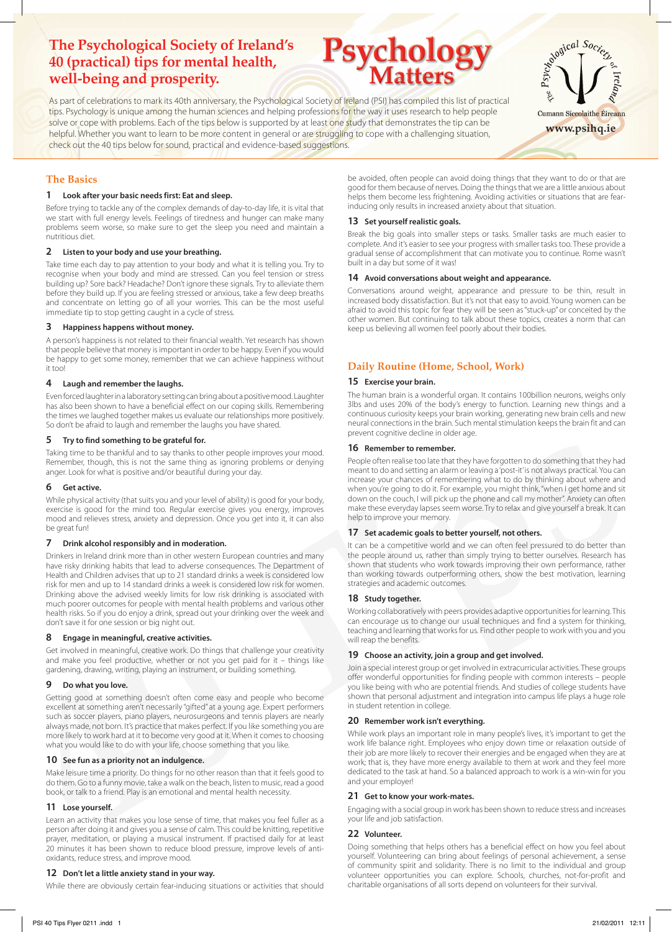# **The Psychological Society of Ireland's 40 (practical) tips for mental health, well-being and prosperity.**

As part of celebrations to mark its 40th anniversary, the Psychological Society of Ireland (PSI) has compiled this list of practical tips. Psychology is unique among the human sciences and helping professions for the way it uses research to help people solve or cope with problems. Each of the tips below is supported by at least one study that demonstrates the tip can be helpful. Whether you want to learn to be more content in general or are struggling to cope with a challenging situation, check out the 40 tips below for sound, practical and evidence-based suggestions.

# **The Basics**

# **1 Look after your basic needs first: Eat and sleep.**

Before trying to tackle any of the complex demands of day-to-day life, it is vital that we start with full energy levels. Feelings of tiredness and hunger can make many problems seem worse, so make sure to get the sleep you need and maintain a nutritious diet.

# **2 Listen to your body and use your breathing.**

Take time each day to pay attention to your body and what it is telling you. Try to recognise when your body and mind are stressed. Can you feel tension or stress building up? Sore back? Headache? Don't ignore these signals. Try to alleviate them before they build up. If you are feeling stressed or anxious, take a few deep breaths and concentrate on letting go of all your worries. This can be the most useful immediate tip to stop getting caught in a cycle of stress.

# **3 Happiness happens without money.**

A person's happiness is not related to their financial wealth. Yet research has shown that people believe that money is important in order to be happy. Even if you would be happy to get some money, remember that we can achieve happiness without it too!

# **4 Laugh and remember the laughs.**

Even forced laughter in a laboratory setting can bring about a positive mood. Laughter has also been shown to have a beneficial effect on our coping skills. Remembering the times we laughed together makes us evaluate our relationships more positively. So don't be afraid to laugh and remember the laughs you have shared.

# **5 Try to find something to be grateful for.**

Taking time to be thankful and to say thanks to other people improves your mood. Remember, though, this is not the same thing as ignoring problems or denying anger. Look for what is positive and/or beautiful during your day.

# **6 Get active.**

While physical activity (that suits you and your level of ability) is good for your body, exercise is good for the mind too. Regular exercise gives you energy, improves mood and relieves stress, anxiety and depression. Once you get into it, it can also be great fun!

# **7 Drink alcohol responsibly and in moderation.**

**5 Typ ship description for example to the space of the Remarker system and the space of the space of the space of the space of the space of the space of the space of the space of the space of the space of the space of the** Drinkers in Ireland drink more than in other western European countries and many have risky drinking habits that lead to adverse consequences. The Department of Health and Children advises that up to 21 standard drinks a week is considered low risk for men and up to 14 standard drinks a week is considered low risk for women. Drinking above the advised weekly limits for low risk drinking is associated with much poorer outcomes for people with mental health problems and various other health risks. So if you do enjoy a drink, spread out your drinking over the week and don't save it for one session or big night out.

# **8 Engage in meaningful, creative activities.**

Get involved in meaningful, creative work. Do things that challenge your creativity and make you feel productive, whether or not you get paid for it – things like gardening, drawing, writing, playing an instrument, or building something.

# **9 Do what you love.**

Getting good at something doesn't often come easy and people who become excellent at something aren't necessarily "gifted" at a young age. Expert performers such as soccer players, piano players, neurosurgeons and tennis players are nearly always made, not born. It's practice that makes perfect. If you like something you are more likely to work hard at it to become very good at it. When it comes to choosing what you would like to do with your life, choose something that you like.

### **10 See fun as a priority not an indulgence.**

Make leisure time a priority. Do things for no other reason than that it feels good to do them. Go to a funny movie, take a walk on the beach, listen to music, read a good book, or talk to a friend. Play is an emotional and mental health necessity.

# **11 Lose yourself.**

Learn an activity that makes you lose sense of time, that makes you feel fuller as a person after doing it and gives you a sense of calm. This could be knitting, repetitive prayer, meditation, or playing a musical instrument. If practised daily for at least 20 minutes it has been shown to reduce blood pressure, improve levels of antioxidants, reduce stress, and improve mood.

### **12 Don't let a little anxiety stand in your way.**

While there are obviously certain fear-inducing situations or activities that should

be avoided, often people can avoid doing things that they want to do or that are good for them because of nerves. Doing the things that we are a little anxious about helps them become less frightening. Avoiding activities or situations that are fearinducing only results in increased anxiety about that situation.

# **13 Set yourself realistic goals.**

**Psychology Matters**

Break the big goals into smaller steps or tasks. Smaller tasks are much easier to complete. And it's easier to see your progress with smaller tasks too. These provide a gradual sense of accomplishment that can motivate you to continue. Rome wasn't built in a day but some of it was!

# **14 Avoid conversations about weight and appearance.**

Conversations around weight, appearance and pressure to be thin, result in increased body dissatisfaction. But it's not that easy to avoid. Young women can be afraid to avoid this topic for fear they will be seen as "stuck-up" or conceited by the other women. But continuing to talk about these topics, creates a norm that can keep us believing all women feel poorly about their bodies.

# **Daily Routine (Home, School, Work)**

# **15 Exercise your brain.**

The human brain is a wonderful organ. It contains 100billion neurons, weighs only 3lbs and uses 20% of the body's energy to function. Learning new things and a continuous curiosity keeps your brain working, generating new brain cells and new neural connections in the brain. Such mental stimulation keeps the brain fit and can prevent cognitive decline in older age.

# **16 Remember to remember.**

People often realise too late that they have forgotten to do something that they had meant to do and setting an alarm or leaving a 'post-it' is not always practical. You can increase your chances of remembering what to do by thinking about where and when you're going to do it. For example, you might think, "when I get home and sit down on the couch, I will pick up the phone and call my mother". Anxiety can often make these everyday lapses seem worse. Try to relax and give yourself a break. It can help to improve your memory.

# **17 Set academic goals to better yourself, not others.**

It can be a competitive world and we can often feel pressured to do better than the people around us, rather than simply trying to better ourselves. Research has shown that students who work towards improving their own performance, rather than working towards outperforming others, show the best motivation, learning strategies and academic outcomes.

# **18 Study together.**

Working collaboratively with peers provides adaptive opportunities for learning. This can encourage us to change our usual techniques and find a system for thinking, teaching and learning that works for us. Find other people to work with you and you will reap the benefits.

### **19 Choose an activity, join a group and get involved.**

Join a special interest group or get involved in extracurricular activities. These groups offer wonderful opportunities for finding people with common interests – people you like being with who are potential friends. And studies of college students have shown that personal adjustment and integration into campus life plays a huge role in student retention in college.

# **20 Remember work isn't everything.**

While work plays an important role in many people's lives, it's important to get the work life balance right. Employees who enjoy down time or relaxation outside of their job are more likely to recover their energies and be engaged when they are at work; that is, they have more energy available to them at work and they feel more dedicated to the task at hand. So a balanced approach to work is a win-win for you and your employer!

### **21 Get to know your work-mates.**

Engaging with a social group in work has been shown to reduce stress and increases your life and job satisfaction.

# **22 Volunteer.**

Doing something that helps others has a beneficial effect on how you feel about yourself. Volunteering can bring about feelings of personal achievement, a sense of community spirit and solidarity. There is no limit to the individual and group volunteer opportunities you can explore. Schools, churches, not-for-profit and charitable organisations of all sorts depend on volunteers for their survival.